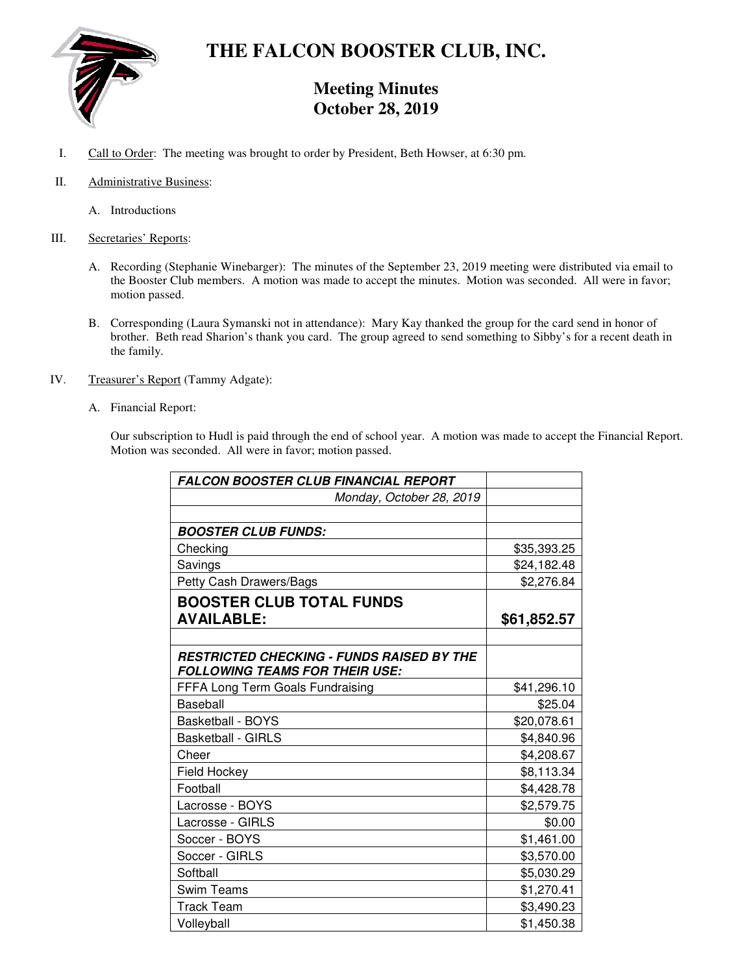

# **THE FALCON BOOSTER CLUB, INC.**

# **Meeting Minutes October 28, 2019**

- I. Call to Order: The meeting was brought to order by President, Beth Howser, at 6:30 pm.
- II. Administrative Business:
	- A. Introductions

#### III. Secretaries' Reports:

- A. Recording (Stephanie Winebarger): The minutes of the September 23, 2019 meeting were distributed via email to the Booster Club members. A motion was made to accept the minutes. Motion was seconded. All were in favor; motion passed.
- B. Corresponding (Laura Symanski not in attendance): Mary Kay thanked the group for the card send in honor of brother. Beth read Sharion's thank you card. The group agreed to send something to Sibby's for a recent death in the family.
- IV. Treasurer's Report (Tammy Adgate):
	- A. Financial Report:

Our subscription to Hudl is paid through the end of school year. A motion was made to accept the Financial Report. Motion was seconded. All were in favor; motion passed.

| <b>FALCON BOOSTER CLUB FINANCIAL REPORT</b>      |             |
|--------------------------------------------------|-------------|
| Monday, October 28, 2019                         |             |
|                                                  |             |
| <b>BOOSTER CLUB FUNDS:</b>                       |             |
| Checking                                         | \$35,393.25 |
| Savings                                          | \$24,182.48 |
| Petty Cash Drawers/Bags                          | \$2,276.84  |
| <b>BOOSTER CLUB TOTAL FUNDS</b>                  |             |
| <b>AVAILABLE:</b>                                | \$61,852.57 |
|                                                  |             |
| <b>RESTRICTED CHECKING - FUNDS RAISED BY THE</b> |             |
| <b>FOLLOWING TEAMS FOR THEIR USE:</b>            |             |
| FFFA Long Term Goals Fundraising                 | \$41,296.10 |
| <b>Baseball</b>                                  | \$25.04     |
| <b>Basketball - BOYS</b>                         | \$20,078.61 |
| <b>Basketball - GIRLS</b>                        | \$4,840.96  |
| Cheer                                            | \$4,208.67  |
| Field Hockey                                     | \$8,113.34  |
| Football                                         | \$4,428.78  |
| Lacrosse - BOYS                                  | \$2,579.75  |
| Lacrosse - GIRLS                                 | \$0.00      |
| Soccer - BOYS                                    | \$1,461.00  |
| Soccer - GIRLS                                   | \$3,570.00  |
| Softball                                         | \$5,030.29  |
| <b>Swim Teams</b>                                | \$1,270.41  |
| Track Team                                       | \$3,490.23  |
| Volleyball                                       | \$1,450.38  |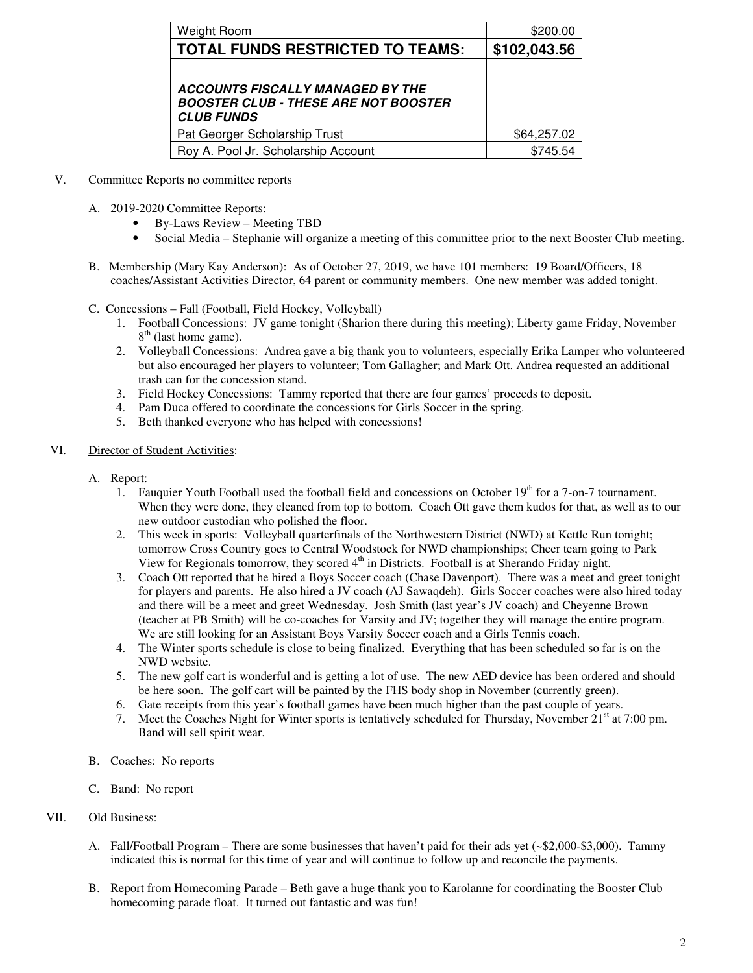| Weight Room                                                                                                 | \$200.00     |
|-------------------------------------------------------------------------------------------------------------|--------------|
| <b>TOTAL FUNDS RESTRICTED TO TEAMS:</b>                                                                     | \$102,043.56 |
|                                                                                                             |              |
| <b>ACCOUNTS FISCALLY MANAGED BY THE</b><br><b>BOOSTER CLUB - THESE ARE NOT BOOSTER</b><br><b>CLUB FUNDS</b> |              |
| Pat Georger Scholarship Trust                                                                               | \$64,257.02  |
| Roy A. Pool Jr. Scholarship Account                                                                         | \$745.54     |

#### V. Committee Reports no committee reports

- A. 2019-2020 Committee Reports:
	- By-Laws Review Meeting TBD
	- Social Media Stephanie will organize a meeting of this committee prior to the next Booster Club meeting.
- B. Membership (Mary Kay Anderson): As of October 27, 2019, we have 101 members: 19 Board/Officers, 18 coaches/Assistant Activities Director, 64 parent or community members. One new member was added tonight.
- C. Concessions Fall (Football, Field Hockey, Volleyball)
	- 1. Football Concessions: JV game tonight (Sharion there during this meeting); Liberty game Friday, November 8<sup>th</sup> (last home game).
	- 2. Volleyball Concessions: Andrea gave a big thank you to volunteers, especially Erika Lamper who volunteered but also encouraged her players to volunteer; Tom Gallagher; and Mark Ott. Andrea requested an additional trash can for the concession stand.
	- 3. Field Hockey Concessions: Tammy reported that there are four games' proceeds to deposit.
	- 4. Pam Duca offered to coordinate the concessions for Girls Soccer in the spring.
	- 5. Beth thanked everyone who has helped with concessions!

#### VI. Director of Student Activities:

- A. Report:
	- 1. Fauquier Youth Football used the football field and concessions on October  $19<sup>th</sup>$  for a 7-on-7 tournament. When they were done, they cleaned from top to bottom. Coach Ott gave them kudos for that, as well as to our new outdoor custodian who polished the floor.
	- 2. This week in sports: Volleyball quarterfinals of the Northwestern District (NWD) at Kettle Run tonight; tomorrow Cross Country goes to Central Woodstock for NWD championships; Cheer team going to Park View for Regionals tomorrow, they scored 4<sup>th</sup> in Districts. Football is at Sherando Friday night.
	- 3. Coach Ott reported that he hired a Boys Soccer coach (Chase Davenport). There was a meet and greet tonight for players and parents. He also hired a JV coach (AJ Sawaqdeh). Girls Soccer coaches were also hired today and there will be a meet and greet Wednesday. Josh Smith (last year's JV coach) and Cheyenne Brown (teacher at PB Smith) will be co-coaches for Varsity and JV; together they will manage the entire program. We are still looking for an Assistant Boys Varsity Soccer coach and a Girls Tennis coach.
	- 4. The Winter sports schedule is close to being finalized. Everything that has been scheduled so far is on the NWD website.
	- 5. The new golf cart is wonderful and is getting a lot of use. The new AED device has been ordered and should be here soon. The golf cart will be painted by the FHS body shop in November (currently green).
	- 6. Gate receipts from this year's football games have been much higher than the past couple of years.
	- 7. Meet the Coaches Night for Winter sports is tentatively scheduled for Thursday, November  $21<sup>st</sup>$  at 7:00 pm. Band will sell spirit wear.
- B. Coaches: No reports
- C. Band: No report

## VII. Old Business:

- A. Fall/Football Program There are some businesses that haven't paid for their ads yet (~\$2,000-\$3,000). Tammy indicated this is normal for this time of year and will continue to follow up and reconcile the payments.
- B. Report from Homecoming Parade Beth gave a huge thank you to Karolanne for coordinating the Booster Club homecoming parade float. It turned out fantastic and was fun!